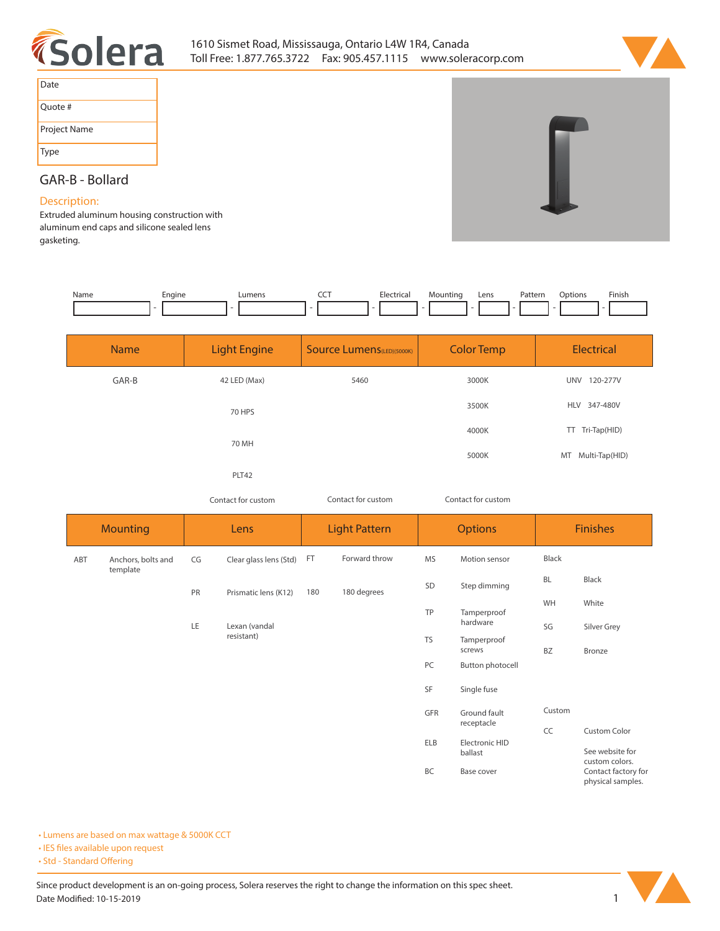



| Date         |  |
|--------------|--|
| Quote #      |  |
| Project Name |  |
| Type         |  |

## **GAR-B - Bollard**

## **Description:**

**Extruded aluminum housing construction with aluminum end caps and silicone sealed lens gasketing.** 

| Name | cngine | <b>IIMAN</b> | ---<br>$ -$ |  | Lens | <sup>&gt;</sup> attern<br>. | $\sim$<br>1921 L<br>. | Finish |
|------|--------|--------------|-------------|--|------|-----------------------------|-----------------------|--------|
|      |        |              |             |  |      |                             |                       |        |

| <b>Name</b> | <b>Light Engine</b> | <b>Source Lumens</b> (LED)(5000K) | <b>Color Temp</b> | Electrical                  |
|-------------|---------------------|-----------------------------------|-------------------|-----------------------------|
| GAR-B       | 42 LED (Max)        | 5460                              | 3000K             | 120-277V<br>UNV             |
|             | 70 HPS              |                                   | 3500K             | HLV 347-480V                |
|             | 70 MH               |                                   | 4000K             | TT Tri-Tap(HID)             |
|             |                     |                                   | 5000K             | Multi-Tap(HID)<br><b>MT</b> |
|             | PLT42               |                                   |                   |                             |

*Contact for custom Contact for custom*

*Contact for custom*

|     | <b>Mounting</b>                |    | Lens                   |     | <b>Light Pattern</b> | <b>Options</b> |                                                  | <b>Finishes</b> |                                          |
|-----|--------------------------------|----|------------------------|-----|----------------------|----------------|--------------------------------------------------|-----------------|------------------------------------------|
| ABT | Anchors, bolts and<br>template | CG | Clear glass lens (Std) | FT  | Forward throw        | <b>MS</b>      | Motion sensor                                    | Black           |                                          |
|     |                                | PR | Prismatic lens (K12)   | 180 | 180 degrees          | SD             | Step dimming                                     | BL              | Black                                    |
|     |                                |    |                        |     |                      | TP             | Tamperproof<br>hardware<br>Tamperproof<br>screws | WH              | White                                    |
|     |                                | LE | Lexan (vandal          |     |                      |                |                                                  | SG              | Silver Grey                              |
|     |                                |    | resistant)             |     |                      | <b>TS</b>      |                                                  | BZ              | Bronze                                   |
|     |                                |    |                        |     |                      | PC             | Button photocell                                 |                 |                                          |
|     |                                |    |                        |     |                      | SF             | Single fuse                                      |                 |                                          |
|     |                                |    |                        |     |                      | GFR            | Ground fault                                     | Custom          |                                          |
|     |                                |    |                        |     |                      |                | receptacle                                       | CC              | Custom Color                             |
|     |                                |    |                        |     |                      | ELB            | Electronic HID<br>ballast                        |                 | See website for<br>custom colors.        |
|     |                                |    |                        |     |                      | BC             | Base cover                                       |                 | Contact factory for<br>physical samples. |

**• Lumens are based on max wattage & 5000K CCT**

**• IES files available upon request** 

• Std - Standard Offering